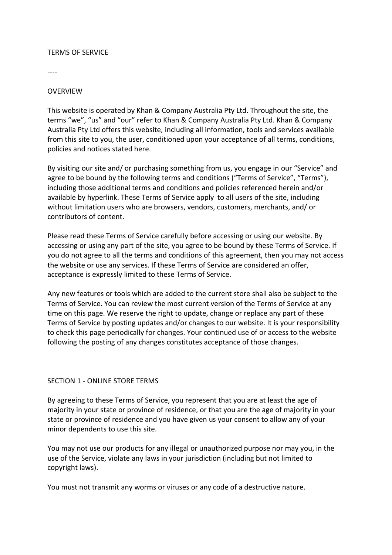# TERMS OF SERVICE

----

#### OVERVIEW

This website is operated by Khan & Company Australia Pty Ltd. Throughout the site, the terms "we", "us" and "our" refer to Khan & Company Australia Pty Ltd. Khan & Company Australia Pty Ltd offers this website, including all information, tools and services available from this site to you, the user, conditioned upon your acceptance of all terms, conditions, policies and notices stated here.

By visiting our site and/ or purchasing something from us, you engage in our "Service" and agree to be bound by the following terms and conditions ("Terms of Service", "Terms"), including those additional terms and conditions and policies referenced herein and/or available by hyperlink. These Terms of Service apply to all users of the site, including without limitation users who are browsers, vendors, customers, merchants, and/ or contributors of content.

Please read these Terms of Service carefully before accessing or using our website. By accessing or using any part of the site, you agree to be bound by these Terms of Service. If you do not agree to all the terms and conditions of this agreement, then you may not access the website or use any services. If these Terms of Service are considered an offer, acceptance is expressly limited to these Terms of Service.

Any new features or tools which are added to the current store shall also be subject to the Terms of Service. You can review the most current version of the Terms of Service at any time on this page. We reserve the right to update, change or replace any part of these Terms of Service by posting updates and/or changes to our website. It is your responsibility to check this page periodically for changes. Your continued use of or access to the website following the posting of any changes constitutes acceptance of those changes.

# SECTION 1 - ONLINE STORE TERMS

By agreeing to these Terms of Service, you represent that you are at least the age of majority in your state or province of residence, or that you are the age of majority in your state or province of residence and you have given us your consent to allow any of your minor dependents to use this site.

You may not use our products for any illegal or unauthorized purpose nor may you, in the use of the Service, violate any laws in your jurisdiction (including but not limited to copyright laws).

You must not transmit any worms or viruses or any code of a destructive nature.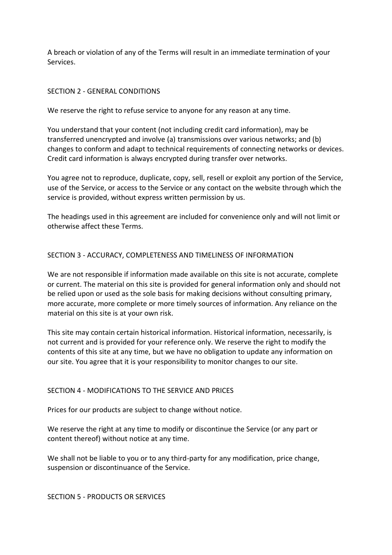A breach or violation of any of the Terms will result in an immediate termination of your Services.

# SECTION 2 - GENERAL CONDITIONS

We reserve the right to refuse service to anyone for any reason at any time.

You understand that your content (not including credit card information), may be transferred unencrypted and involve (a) transmissions over various networks; and (b) changes to conform and adapt to technical requirements of connecting networks or devices. Credit card information is always encrypted during transfer over networks.

You agree not to reproduce, duplicate, copy, sell, resell or exploit any portion of the Service, use of the Service, or access to the Service or any contact on the website through which the service is provided, without express written permission by us.

The headings used in this agreement are included for convenience only and will not limit or otherwise affect these Terms.

# SECTION 3 - ACCURACY, COMPLETENESS AND TIMELINESS OF INFORMATION

We are not responsible if information made available on this site is not accurate, complete or current. The material on this site is provided for general information only and should not be relied upon or used as the sole basis for making decisions without consulting primary, more accurate, more complete or more timely sources of information. Any reliance on the material on this site is at your own risk.

This site may contain certain historical information. Historical information, necessarily, is not current and is provided for your reference only. We reserve the right to modify the contents of this site at any time, but we have no obligation to update any information on our site. You agree that it is your responsibility to monitor changes to our site.

# SECTION 4 - MODIFICATIONS TO THE SERVICE AND PRICES

Prices for our products are subject to change without notice.

We reserve the right at any time to modify or discontinue the Service (or any part or content thereof) without notice at any time.

We shall not be liable to you or to any third-party for any modification, price change, suspension or discontinuance of the Service.

SECTION 5 - PRODUCTS OR SERVICES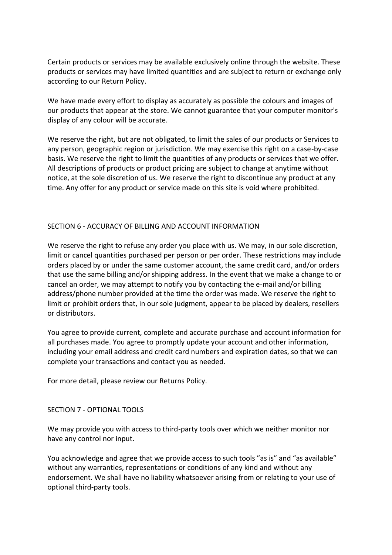Certain products or services may be available exclusively online through the website. These products or services may have limited quantities and are subject to return or exchange only according to our Return Policy.

We have made every effort to display as accurately as possible the colours and images of our products that appear at the store. We cannot guarantee that your computer monitor's display of any colour will be accurate.

We reserve the right, but are not obligated, to limit the sales of our products or Services to any person, geographic region or jurisdiction. We may exercise this right on a case-by-case basis. We reserve the right to limit the quantities of any products or services that we offer. All descriptions of products or product pricing are subject to change at anytime without notice, at the sole discretion of us. We reserve the right to discontinue any product at any time. Any offer for any product or service made on this site is void where prohibited.

# SECTION 6 - ACCURACY OF BILLING AND ACCOUNT INFORMATION

We reserve the right to refuse any order you place with us. We may, in our sole discretion, limit or cancel quantities purchased per person or per order. These restrictions may include orders placed by or under the same customer account, the same credit card, and/or orders that use the same billing and/or shipping address. In the event that we make a change to or cancel an order, we may attempt to notify you by contacting the e-mail and/or billing address/phone number provided at the time the order was made. We reserve the right to limit or prohibit orders that, in our sole judgment, appear to be placed by dealers, resellers or distributors.

You agree to provide current, complete and accurate purchase and account information for all purchases made. You agree to promptly update your account and other information, including your email address and credit card numbers and expiration dates, so that we can complete your transactions and contact you as needed.

For more detail, please review our Returns Policy.

# SECTION 7 - OPTIONAL TOOLS

We may provide you with access to third-party tools over which we neither monitor nor have any control nor input.

You acknowledge and agree that we provide access to such tools "as is" and "as available" without any warranties, representations or conditions of any kind and without any endorsement. We shall have no liability whatsoever arising from or relating to your use of optional third-party tools.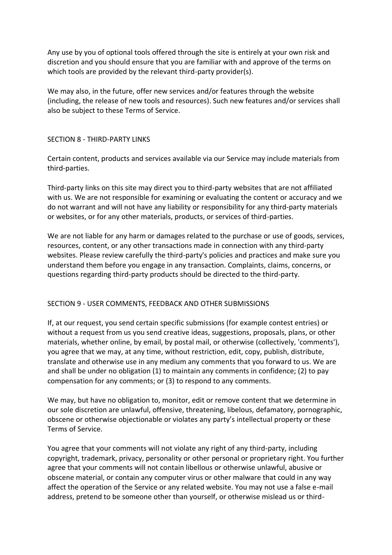Any use by you of optional tools offered through the site is entirely at your own risk and discretion and you should ensure that you are familiar with and approve of the terms on which tools are provided by the relevant third-party provider(s).

We may also, in the future, offer new services and/or features through the website (including, the release of new tools and resources). Such new features and/or services shall also be subject to these Terms of Service.

# SECTION 8 - THIRD-PARTY LINKS

Certain content, products and services available via our Service may include materials from third-parties.

Third-party links on this site may direct you to third-party websites that are not affiliated with us. We are not responsible for examining or evaluating the content or accuracy and we do not warrant and will not have any liability or responsibility for any third-party materials or websites, or for any other materials, products, or services of third-parties.

We are not liable for any harm or damages related to the purchase or use of goods, services, resources, content, or any other transactions made in connection with any third-party websites. Please review carefully the third-party's policies and practices and make sure you understand them before you engage in any transaction. Complaints, claims, concerns, or questions regarding third-party products should be directed to the third-party.

# SECTION 9 - USER COMMENTS, FEEDBACK AND OTHER SUBMISSIONS

If, at our request, you send certain specific submissions (for example contest entries) or without a request from us you send creative ideas, suggestions, proposals, plans, or other materials, whether online, by email, by postal mail, or otherwise (collectively, 'comments'), you agree that we may, at any time, without restriction, edit, copy, publish, distribute, translate and otherwise use in any medium any comments that you forward to us. We are and shall be under no obligation (1) to maintain any comments in confidence; (2) to pay compensation for any comments; or (3) to respond to any comments.

We may, but have no obligation to, monitor, edit or remove content that we determine in our sole discretion are unlawful, offensive, threatening, libelous, defamatory, pornographic, obscene or otherwise objectionable or violates any party's intellectual property or these Terms of Service.

You agree that your comments will not violate any right of any third-party, including copyright, trademark, privacy, personality or other personal or proprietary right. You further agree that your comments will not contain libellous or otherwise unlawful, abusive or obscene material, or contain any computer virus or other malware that could in any way affect the operation of the Service or any related website. You may not use a false e-mail address, pretend to be someone other than yourself, or otherwise mislead us or third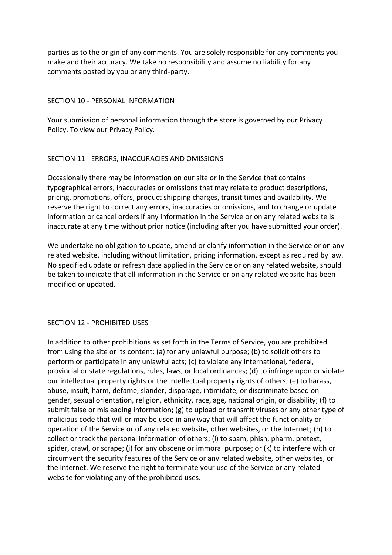parties as to the origin of any comments. You are solely responsible for any comments you make and their accuracy. We take no responsibility and assume no liability for any comments posted by you or any third-party.

# SECTION 10 - PERSONAL INFORMATION

Your submission of personal information through the store is governed by our Privacy Policy. To view our Privacy Policy.

# SECTION 11 - ERRORS, INACCURACIES AND OMISSIONS

Occasionally there may be information on our site or in the Service that contains typographical errors, inaccuracies or omissions that may relate to product descriptions, pricing, promotions, offers, product shipping charges, transit times and availability. We reserve the right to correct any errors, inaccuracies or omissions, and to change or update information or cancel orders if any information in the Service or on any related website is inaccurate at any time without prior notice (including after you have submitted your order).

We undertake no obligation to update, amend or clarify information in the Service or on any related website, including without limitation, pricing information, except as required by law. No specified update or refresh date applied in the Service or on any related website, should be taken to indicate that all information in the Service or on any related website has been modified or updated.

# SECTION 12 - PROHIBITED USES

In addition to other prohibitions as set forth in the Terms of Service, you are prohibited from using the site or its content: (a) for any unlawful purpose; (b) to solicit others to perform or participate in any unlawful acts; (c) to violate any international, federal, provincial or state regulations, rules, laws, or local ordinances; (d) to infringe upon or violate our intellectual property rights or the intellectual property rights of others; (e) to harass, abuse, insult, harm, defame, slander, disparage, intimidate, or discriminate based on gender, sexual orientation, religion, ethnicity, race, age, national origin, or disability; (f) to submit false or misleading information; (g) to upload or transmit viruses or any other type of malicious code that will or may be used in any way that will affect the functionality or operation of the Service or of any related website, other websites, or the Internet; (h) to collect or track the personal information of others; (i) to spam, phish, pharm, pretext, spider, crawl, or scrape; (j) for any obscene or immoral purpose; or (k) to interfere with or circumvent the security features of the Service or any related website, other websites, or the Internet. We reserve the right to terminate your use of the Service or any related website for violating any of the prohibited uses.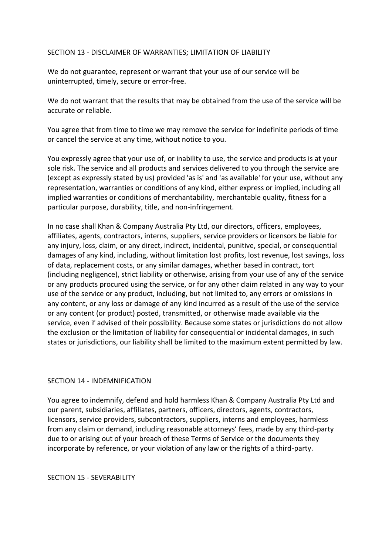# SECTION 13 - DISCLAIMER OF WARRANTIES; LIMITATION OF LIABILITY

We do not guarantee, represent or warrant that your use of our service will be uninterrupted, timely, secure or error-free.

We do not warrant that the results that may be obtained from the use of the service will be accurate or reliable.

You agree that from time to time we may remove the service for indefinite periods of time or cancel the service at any time, without notice to you.

You expressly agree that your use of, or inability to use, the service and products is at your sole risk. The service and all products and services delivered to you through the service are (except as expressly stated by us) provided 'as is' and 'as available' for your use, without any representation, warranties or conditions of any kind, either express or implied, including all implied warranties or conditions of merchantability, merchantable quality, fitness for a particular purpose, durability, title, and non-infringement.

In no case shall Khan & Company Australia Pty Ltd, our directors, officers, employees, affiliates, agents, contractors, interns, suppliers, service providers or licensors be liable for any injury, loss, claim, or any direct, indirect, incidental, punitive, special, or consequential damages of any kind, including, without limitation lost profits, lost revenue, lost savings, loss of data, replacement costs, or any similar damages, whether based in contract, tort (including negligence), strict liability or otherwise, arising from your use of any of the service or any products procured using the service, or for any other claim related in any way to your use of the service or any product, including, but not limited to, any errors or omissions in any content, or any loss or damage of any kind incurred as a result of the use of the service or any content (or product) posted, transmitted, or otherwise made available via the service, even if advised of their possibility. Because some states or jurisdictions do not allow the exclusion or the limitation of liability for consequential or incidental damages, in such states or jurisdictions, our liability shall be limited to the maximum extent permitted by law.

# SECTION 14 - INDEMNIFICATION

You agree to indemnify, defend and hold harmless Khan & Company Australia Pty Ltd and our parent, subsidiaries, affiliates, partners, officers, directors, agents, contractors, licensors, service providers, subcontractors, suppliers, interns and employees, harmless from any claim or demand, including reasonable attorneys' fees, made by any third-party due to or arising out of your breach of these Terms of Service or the documents they incorporate by reference, or your violation of any law or the rights of a third-party.

# SECTION 15 - SEVERABILITY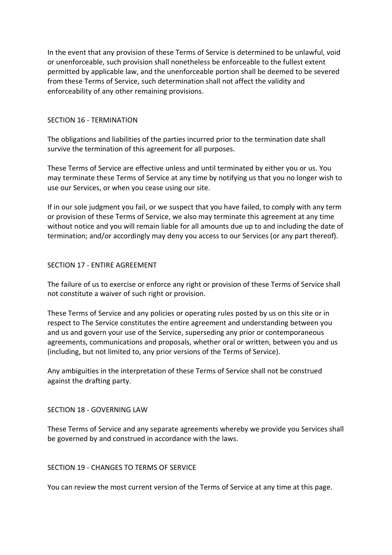In the event that any provision of these Terms of Service is determined to be unlawful, void or unenforceable, such provision shall nonetheless be enforceable to the fullest extent permitted by applicable law, and the unenforceable portion shall be deemed to be severed from these Terms of Service, such determination shall not affect the validity and enforceability of any other remaining provisions.

# SECTION 16 - TERMINATION

The obligations and liabilities of the parties incurred prior to the termination date shall survive the termination of this agreement for all purposes.

These Terms of Service are effective unless and until terminated by either you or us. You may terminate these Terms of Service at any time by notifying us that you no longer wish to use our Services, or when you cease using our site.

If in our sole judgment you fail, or we suspect that you have failed, to comply with any term or provision of these Terms of Service, we also may terminate this agreement at any time without notice and you will remain liable for all amounts due up to and including the date of termination; and/or accordingly may deny you access to our Services (or any part thereof).

# SECTION 17 - ENTIRE AGREEMENT

The failure of us to exercise or enforce any right or provision of these Terms of Service shall not constitute a waiver of such right or provision.

These Terms of Service and any policies or operating rules posted by us on this site or in respect to The Service constitutes the entire agreement and understanding between you and us and govern your use of the Service, superseding any prior or contemporaneous agreements, communications and proposals, whether oral or written, between you and us (including, but not limited to, any prior versions of the Terms of Service).

Any ambiguities in the interpretation of these Terms of Service shall not be construed against the drafting party.

#### SECTION 18 - GOVERNING LAW

These Terms of Service and any separate agreements whereby we provide you Services shall be governed by and construed in accordance with the laws.

#### SECTION 19 - CHANGES TO TERMS OF SERVICE

You can review the most current version of the Terms of Service at any time at this page.